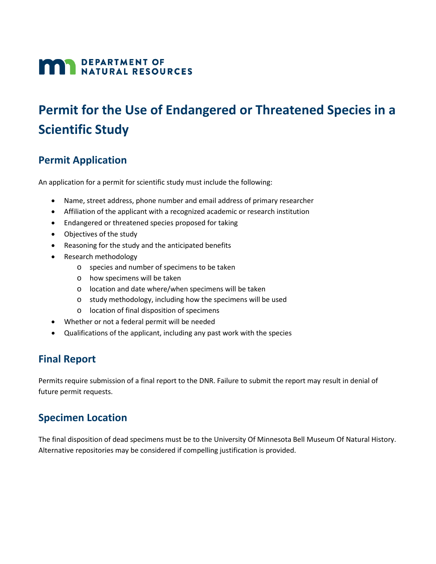# **MAN DEPARTMENT OF NATURAL RESOURCES**

# **Permit for the Use of Endangered or Threatened Species in a Scientific Study**

### **Permit Application**

An application for a permit for scientific study must include the following:

- Name, street address, phone number and email address of primary researcher
- Affiliation of the applicant with a recognized academic or research institution
- Endangered or threatened species proposed for taking
- Objectives of the study
- Reasoning for the study and the anticipated benefits
- Research methodology
	- o species and number of specimens to be taken
	- o how specimens will be taken
	- o location and date where/when specimens will be taken
	- o study methodology, including how the specimens will be used
	- o location of final disposition of specimens
- Whether or not a federal permit will be needed
- Qualifications of the applicant, including any past work with the species

### **Final Report**

Permits require submission of a final report to the DNR. Failure to submit the report may result in denial of future permit requests.

#### **Specimen Location**

The final disposition of dead specimens must be to the University Of Minnesota Bell Museum Of Natural History. Alternative repositories may be considered if compelling justification is provided.